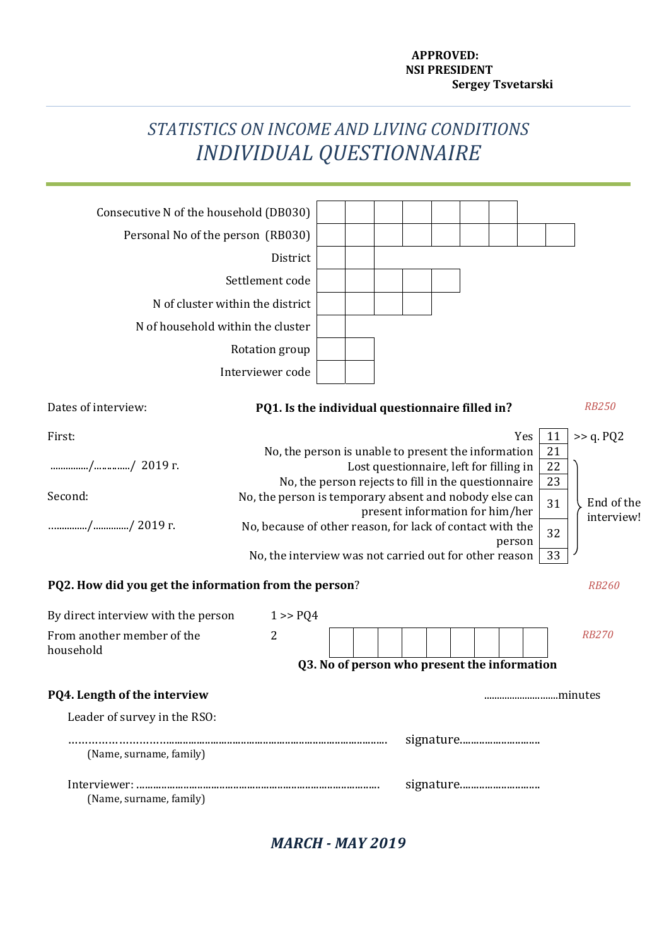## **APPROVED: NSI PRESIDENT Sergey Tsvetarski**

# *STATISTICS ON INCOME AND LIVING CONDITIONS INDIVIDUAL QUESTIONNAIRE*

| Consecutive N of the household (DB030)                |                                                                                                                                                                      |  |  |  |  |                                         |  |  |        |     |                |              |
|-------------------------------------------------------|----------------------------------------------------------------------------------------------------------------------------------------------------------------------|--|--|--|--|-----------------------------------------|--|--|--------|-----|----------------|--------------|
| Personal No of the person (RB030)                     |                                                                                                                                                                      |  |  |  |  |                                         |  |  |        |     |                |              |
|                                                       | District                                                                                                                                                             |  |  |  |  |                                         |  |  |        |     |                |              |
|                                                       | Settlement code                                                                                                                                                      |  |  |  |  |                                         |  |  |        |     |                |              |
| N of cluster within the district                      |                                                                                                                                                                      |  |  |  |  |                                         |  |  |        |     |                |              |
| N of household within the cluster                     |                                                                                                                                                                      |  |  |  |  |                                         |  |  |        |     |                |              |
|                                                       | Rotation group                                                                                                                                                       |  |  |  |  |                                         |  |  |        |     |                |              |
|                                                       | Interviewer code                                                                                                                                                     |  |  |  |  |                                         |  |  |        |     |                |              |
| Dates of interview:                                   | PQ1. Is the individual questionnaire filled in?                                                                                                                      |  |  |  |  |                                         |  |  |        |     |                | <b>RB250</b> |
| First:                                                |                                                                                                                                                                      |  |  |  |  |                                         |  |  |        | Yes | 11             | $\gt$ q. PQ2 |
| // 2019 г.                                            | No, the person is unable to present the information                                                                                                                  |  |  |  |  | Lost questionnaire, left for filling in |  |  |        |     | 21<br>22<br>23 |              |
| Second:                                               | No, the person rejects to fill in the questionnaire<br>No, the person is temporary absent and nobody else can<br>End of the<br>31<br>present information for him/her |  |  |  |  |                                         |  |  |        |     |                |              |
| // 2019 г.                                            | No, because of other reason, for lack of contact with the                                                                                                            |  |  |  |  |                                         |  |  | person |     | 32             | interview!   |
|                                                       | No, the interview was not carried out for other reason                                                                                                               |  |  |  |  |                                         |  |  |        |     | 33             |              |
| PQ2. How did you get the information from the person? |                                                                                                                                                                      |  |  |  |  |                                         |  |  |        |     |                | <b>RB260</b> |
| By direct interview with the person                   | 1 > PQ4                                                                                                                                                              |  |  |  |  |                                         |  |  |        |     |                |              |
| From another member of the                            | $\overline{2}$                                                                                                                                                       |  |  |  |  |                                         |  |  |        |     |                | <b>RB270</b> |
| household                                             | Q3. No of person who present the information                                                                                                                         |  |  |  |  |                                         |  |  |        |     |                |              |
|                                                       |                                                                                                                                                                      |  |  |  |  |                                         |  |  |        |     |                |              |
| <b>PQ4. Length of the interview</b>                   |                                                                                                                                                                      |  |  |  |  |                                         |  |  |        |     |                | minutes      |
| Leader of survey in the RSO:                          |                                                                                                                                                                      |  |  |  |  |                                         |  |  |        |     |                |              |
|                                                       |                                                                                                                                                                      |  |  |  |  | signature                               |  |  |        |     |                |              |
| (Name, surname, family)                               |                                                                                                                                                                      |  |  |  |  |                                         |  |  |        |     |                |              |
| (Name, surname, family)                               |                                                                                                                                                                      |  |  |  |  | signature                               |  |  |        |     |                |              |

*MARCH - MAY 2019*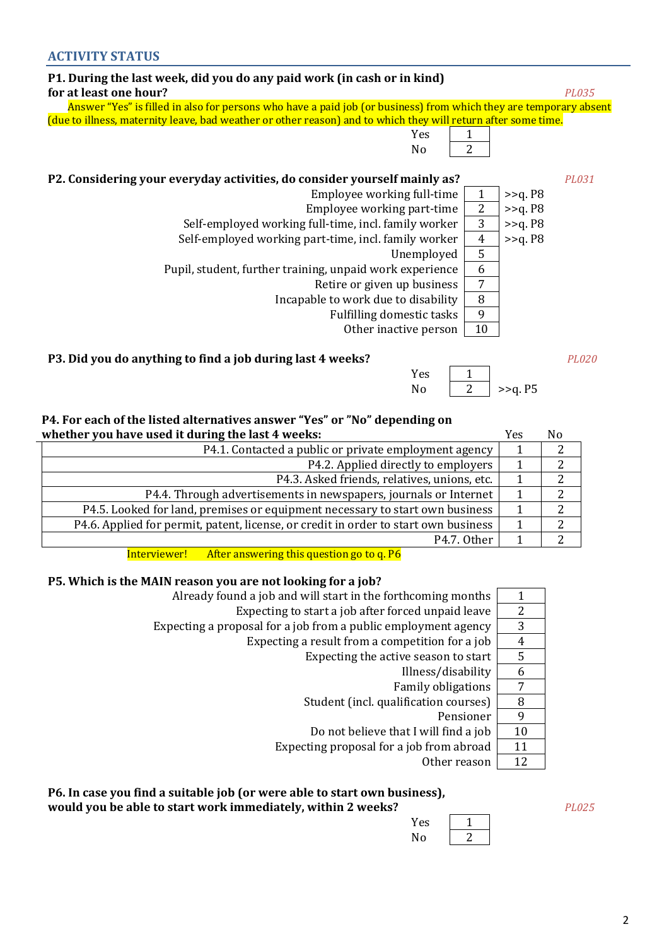| P1. During the last week, did you do any paid work (in cash or in kind)                                           |                |            |       |
|-------------------------------------------------------------------------------------------------------------------|----------------|------------|-------|
| for at least one hour?                                                                                            |                |            | PL035 |
| Answer "Yes" is filled in also for persons who have a paid job (or business) from which they are temporary absent |                |            |       |
| (due to illness, maternity leave, bad weather or other reason) and to which they will return after some time.     |                |            |       |
| 1<br>Yes                                                                                                          |                |            |       |
| 2<br>N <sub>0</sub>                                                                                               |                |            |       |
|                                                                                                                   |                |            |       |
| P2. Considering your everyday activities, do consider yourself mainly as?                                         |                |            | PL031 |
| Employee working full-time                                                                                        | 1              | $>>q$ . P8 |       |
| Employee working part-time                                                                                        | $\overline{2}$ | $>>q$ . P8 |       |
| Self-employed working full-time, incl. family worker                                                              | 3              | $>>q$ . P8 |       |
| Self-employed working part-time, incl. family worker                                                              | $\overline{4}$ | $>>q$ . P8 |       |
| Unemployed                                                                                                        | 5              |            |       |
| Pupil, student, further training, unpaid work experience                                                          | 6              |            |       |
| Retire or given up business                                                                                       | 7              |            |       |
| Incapable to work due to disability                                                                               | 8              |            |       |
| Fulfilling domestic tasks                                                                                         | 9              |            |       |
| Other inactive person                                                                                             | 10             |            |       |

## **P3. Did you do anything to find a job during last 4 weeks?** *PL020*

## **P4. For each of the listed alternatives answer "Yes" or "No" depending on**

| whether you have used it during the last 4 weeks:                                   | Yes | N <sub>0</sub> |
|-------------------------------------------------------------------------------------|-----|----------------|
| P4.1. Contacted a public or private employment agency                               |     |                |
| P4.2. Applied directly to employers                                                 |     |                |
| P4.3. Asked friends, relatives, unions, etc.                                        |     |                |
| P4.4. Through advertisements in newspapers, journals or Internet                    |     | າ              |
| P4.5. Looked for land, premises or equipment necessary to start own business        |     |                |
| P4.6. Applied for permit, patent, license, or credit in order to start own business |     | າ              |
| P <sub>4.7</sub> . Other                                                            |     |                |

Interviewer! After answering this question go to q. P6

## **P5. Which is the MAIN reason you are not looking for a job?**

|    | Already found a job and will start in the forthcoming months   |
|----|----------------------------------------------------------------|
| 2  | Expecting to start a job after forced unpaid leave             |
| 3  | Expecting a proposal for a job from a public employment agency |
| 4  | Expecting a result from a competition for a job                |
| 5  | Expecting the active season to start                           |
| 6  | Illness/disability                                             |
| 7  | <b>Family obligations</b>                                      |
| 8  | Student (incl. qualification courses)                          |
| 9  | Pensioner                                                      |
| 10 | Do not believe that I will find a job                          |
| 11 | Expecting proposal for a job from abroad                       |
| 12 | Other reason                                                   |
|    |                                                                |

## **P6. In case you find a suitable job (or were able to start own business),**

**would you be able to start work immediately, within 2 weeks?** *PL025*

| Yes |  |
|-----|--|
| N٥  |  |

Yes 1 No  $\boxed{2}$  >>q. P5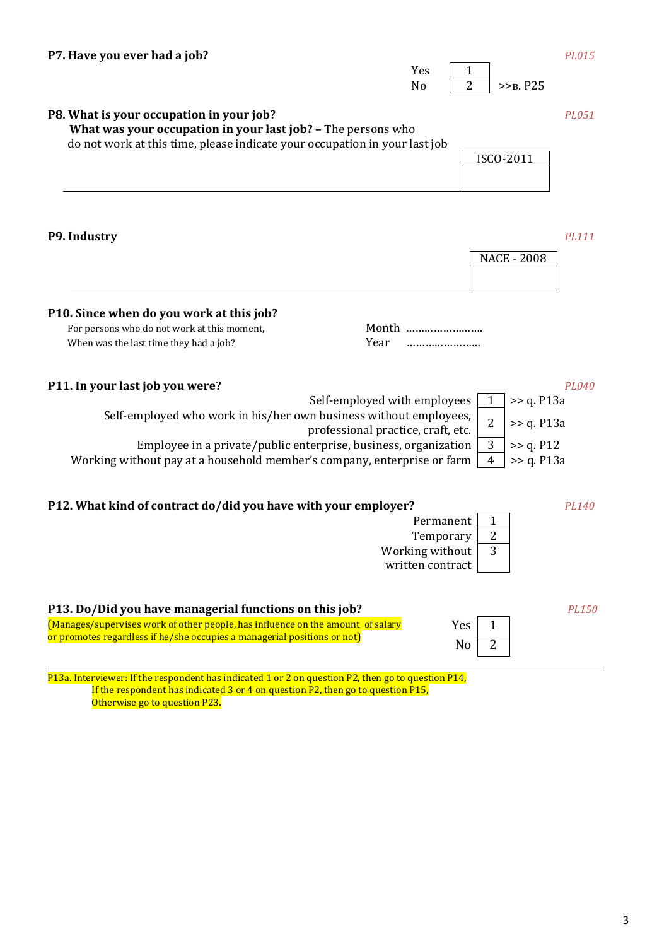|                                                                                                                                                                                                                                                                                                                             | Yes<br>1<br>$\overline{2}$<br>N <sub>o</sub><br>$>>B$ . $P25$                                      |
|-----------------------------------------------------------------------------------------------------------------------------------------------------------------------------------------------------------------------------------------------------------------------------------------------------------------------------|----------------------------------------------------------------------------------------------------|
| P8. What is your occupation in your job?<br>What was your occupation in your last job? - The persons who<br>do not work at this time, please indicate your occupation in your last job                                                                                                                                      | PL051<br>ISCO-2011                                                                                 |
| P9. Industry                                                                                                                                                                                                                                                                                                                | PL111<br><b>NACE - 2008</b>                                                                        |
| P10. Since when do you work at this job?<br>For persons who do not work at this moment,<br>Year<br>When was the last time they had a job?                                                                                                                                                                                   | Month<br>                                                                                          |
| P11. In your last job you were?<br>Self-employed with employees<br>Self-employed who work in his/her own business without employees,<br>professional practice, craft, etc.<br>Employee in a private/public enterprise, business, organization<br>Working without pay at a household member's company, enterprise or farm    | PL040<br>$\gt$ q. P13a<br>1<br>2<br>$\gg$ q. P13a<br>3<br>>> q. P12<br>$\gg$ q. P13a<br>4          |
| P12. What kind of contract do/did you have with your employer?                                                                                                                                                                                                                                                              | PL140<br>Permanent<br>1<br>$\overline{c}$<br>Temporary<br>3<br>Working without<br>written contract |
| P13. Do/Did you have managerial functions on this job?<br>(Manages/supervises work of other people, has influence on the amount of salary<br>or promotes regardless if he/she occupies a managerial positions or not)<br>P13a. Interviewer: If the respondent has indicated 1 or 2 on question P2, then go to question P14, | PL150<br>Yes<br>1<br>2<br>No                                                                       |

**P7. Have you ever had a job?** *PL015*

 If the respondent has indicated 3 or 4 on question P2, then go to question Р15, Otherwise go to question P23.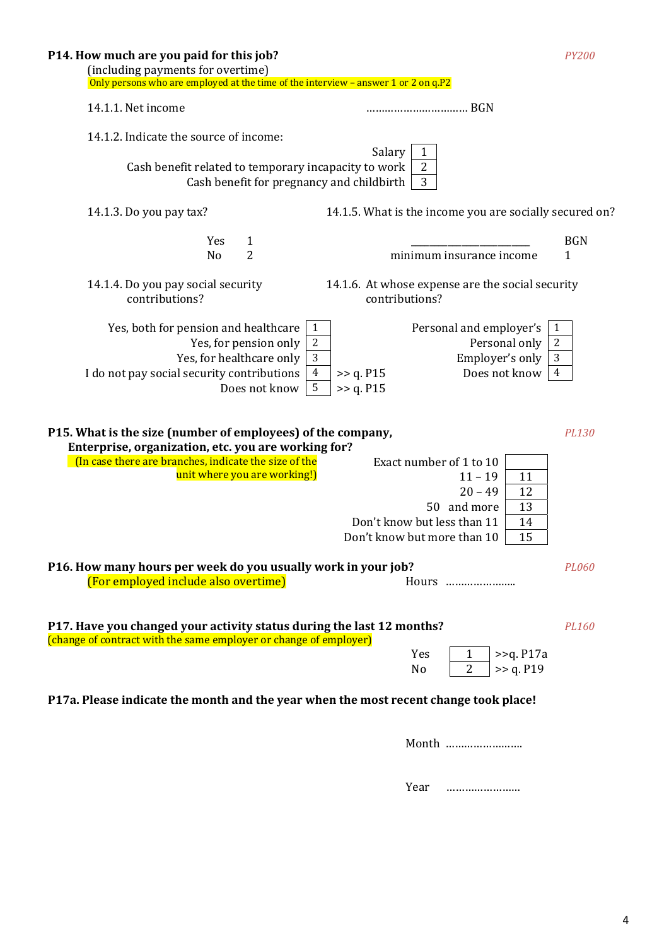| P14. How much are you paid for this job?<br>(including payments for overtime)<br>Only persons who are employed at the time of the interview - answer 1 or 2 on q.P2                                                | <b>PY200</b>                                                                                                                                                          |
|--------------------------------------------------------------------------------------------------------------------------------------------------------------------------------------------------------------------|-----------------------------------------------------------------------------------------------------------------------------------------------------------------------|
| 14.1.1. Net income                                                                                                                                                                                                 |                                                                                                                                                                       |
| 14.1.2. Indicate the source of income:<br>Cash benefit related to temporary incapacity to work<br>Cash benefit for pregnancy and childbirth                                                                        | Salary<br>$\mathbf{1}$<br>$\overline{c}$<br>3                                                                                                                         |
| 14.1.3. Do you pay tax?                                                                                                                                                                                            | 14.1.5. What is the income you are socially secured on?                                                                                                               |
| Yes<br>$\mathbf{1}$<br>$\overline{2}$<br>No                                                                                                                                                                        | <b>BGN</b><br>minimum insurance income<br>1                                                                                                                           |
| 14.1.4. Do you pay social security<br>contributions?                                                                                                                                                               | 14.1.6. At whose expense are the social security<br>contributions?                                                                                                    |
| Yes, both for pension and healthcare<br>$\mathbf{1}$<br>$\sqrt{2}$<br>Yes, for pension only<br>3<br>Yes, for healthcare only<br>$\overline{4}$<br>I do not pay social security contributions<br>5<br>Does not know | $\mathbf{1}$<br>Personal and employer's<br>$\sqrt{2}$<br>Personal only<br>3<br>Employer's only<br>Does not know<br>$\overline{4}$<br>>> q. P15<br>>> q. P15           |
| P15. What is the size (number of employees) of the company,<br>Enterprise, organization, etc. you are working for?<br>(In case there are branches, indicate the size of the<br>unit where you are working!)        | PL130<br>Exact number of 1 to 10<br>$11 - 19$<br>11<br>$20 - 49$<br>12<br>50 and more<br>13<br>Don't know but less than 11<br>14<br>15<br>Don't know but more than 10 |
| P16. How many hours per week do you usually work in your job?<br>(For employed include also overtime)                                                                                                              | PL060<br>Hours                                                                                                                                                        |
| P17. Have you changed your activity status during the last 12 months?<br>(change of contract with the same employer or change of employer)                                                                         | PL160<br>Yes<br>$\geq$ q. P17a<br>$\mathbf{1}$<br>>> q. P19<br>No<br>2                                                                                                |
| P17a. Please indicate the month and the year when the most recent change took place!                                                                                                                               |                                                                                                                                                                       |

Month …………………….

Year ……………………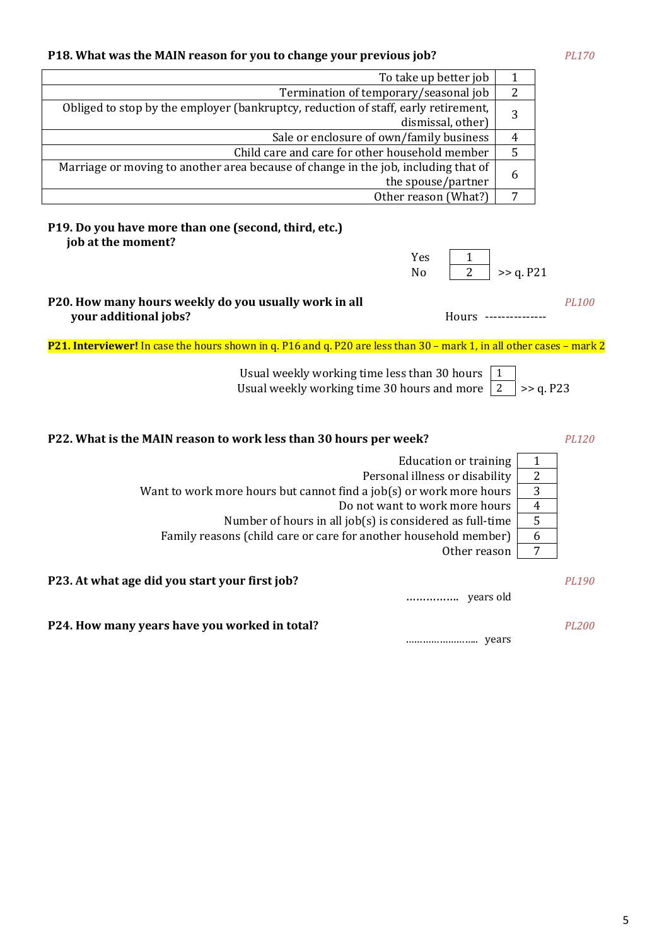## **P18. What was the MAIN reason for you to change your previous job?** *PL170*

| To take up better job                                                              |                |
|------------------------------------------------------------------------------------|----------------|
| Termination of temporary/seasonal job                                              | $\overline{2}$ |
| Obliged to stop by the employer (bankruptcy, reduction of staff, early retirement, | 3              |
| dismissal, other)                                                                  |                |
| Sale or enclosure of own/family business                                           | 4              |
| Child care and care for other household member                                     | 5              |
| Marriage or moving to another area because of change in the job, including that of |                |
| the spouse/partner                                                                 | b              |
| Other reason (What?)                                                               | 7              |

## **P19. Do you have more than one (second, third, etc.) job at the moment?**

| Yes |           |
|-----|-----------|
| No  | >> q. P21 |

**P20. How many hours weekly do you usually work in all** *PL100* **your additional jobs?** Hours ---------------

**P21. Interviewer!** In case the hours shown in q. P16 and q. P20 are less than 30 – mark 1, in all other cases – mark 2

Usual weekly working time less than 30 hours  $\vert 1 \vert$ Usual weekly working time 30 hours and more  $\boxed{2}$  >> q. P23

**P22. What is the MAIN reason to work less than 30 hours per week?** *PL120*

| Education or training                                               |   |
|---------------------------------------------------------------------|---|
| Personal illness or disability                                      | 2 |
| Want to work more hours but cannot find a job(s) or work more hours | 3 |
| Do not want to work more hours                                      | 4 |
| Number of hours in all job(s) is considered as full-time            | 5 |
| Family reasons (child care or care for another household member)    | b |
| Other reason                                                        | ∍ |
|                                                                     |   |
|                                                                     |   |

**P23. At what age did you start your first job?** *PL190* 

……………. years old

**Р24. How many years have you worked in total?** *PL200*

…………………….. years

5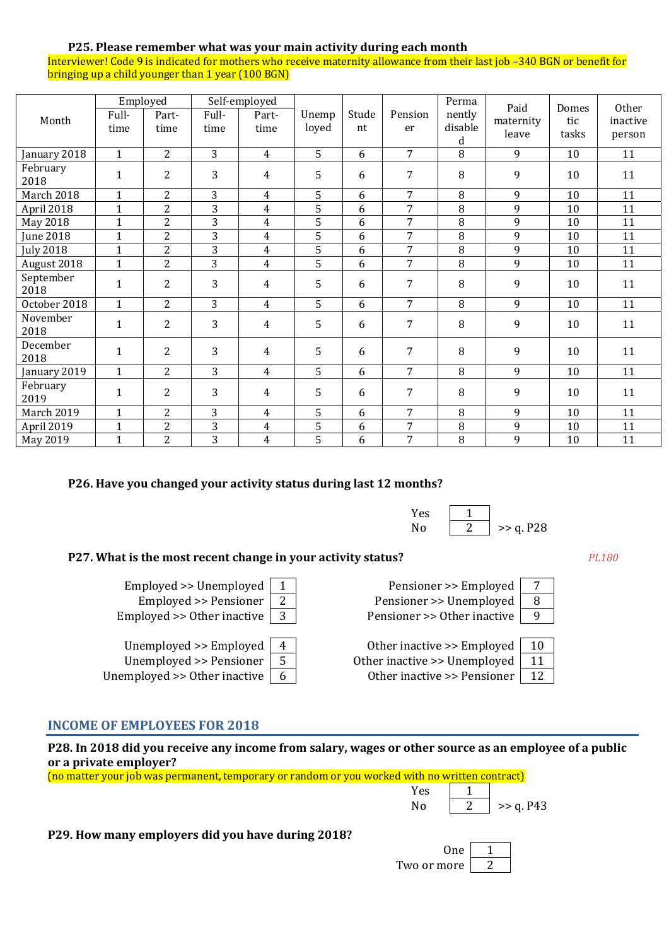## **P25. Please remember what was your main activity during each month**

Interviewer! Code 9 is indicated for mothers who receive maternity allowance from their last job –340 BGN or benefit for bringing up a child younger than 1 year (100 BGN)

| Month             | Full-<br>time | Employed<br>Part-<br>time | Full-<br>time  | Self-employed<br>Part-<br>time | Unemp<br>loyed | Stude<br>nt | Pension<br>er  | Perma<br>nently<br>disable<br>d | Paid<br>maternity<br>leave | Domes<br>tic<br>tasks | Other<br>inactive<br>person |
|-------------------|---------------|---------------------------|----------------|--------------------------------|----------------|-------------|----------------|---------------------------------|----------------------------|-----------------------|-----------------------------|
| January 2018      | $\mathbf{1}$  | $\overline{2}$            | 3              | $\overline{4}$                 | 5              | 6           | $\overline{7}$ | 8                               | 9                          | 10                    | 11                          |
| February<br>2018  | $\mathbf{1}$  | $\overline{2}$            | 3              | $\overline{4}$                 | 5              | 6           | 7              | 8                               | 9                          | 10                    | 11                          |
| March 2018        | $\mathbf{1}$  | $\overline{2}$            | 3              | $\overline{4}$                 | 5              | 6           | $\overline{7}$ | 8                               | 9                          | 10                    | 11                          |
| April 2018        | $\mathbf{1}$  | $\overline{2}$            | 3              | $\overline{4}$                 | 5              | 6           | 7              | 8                               | 9                          | 10                    | 11                          |
| May 2018          | $\mathbf{1}$  | $\overline{2}$            | $\overline{3}$ | $\overline{4}$                 | $\overline{5}$ | 6           | $\overline{7}$ | 8                               | 9                          | 10                    | 11                          |
| <b>June 2018</b>  | $\mathbf{1}$  | $\overline{2}$            | 3              | $\overline{4}$                 | 5              | 6           | 7              | 8                               | 9                          | 10                    | 11                          |
| <b>July 2018</b>  | $\mathbf{1}$  | $\overline{2}$            | $\overline{3}$ | $\overline{4}$                 | $\overline{5}$ | 6           | 7              | 8                               | 9                          | 10                    | 11                          |
| August 2018       | $\mathbf{1}$  | $\overline{2}$            | 3              | $\overline{4}$                 | 5              | 6           | $\overline{7}$ | 8                               | 9                          | 10                    | 11                          |
| September<br>2018 | $\mathbf{1}$  | $\overline{2}$            | 3              | $\overline{4}$                 | 5              | 6           | 7              | 8                               | 9                          | 10                    | 11                          |
| October 2018      | $\mathbf{1}$  | $\overline{2}$            | 3              | $\overline{4}$                 | 5              | 6           | 7              | 8                               | 9                          | 10                    | 11                          |
| November<br>2018  | $\mathbf{1}$  | $\overline{2}$            | 3              | $\overline{4}$                 | 5              | 6           | 7              | 8                               | 9                          | 10                    | 11                          |
| December<br>2018  | $\mathbf{1}$  | $\overline{2}$            | 3              | $\overline{4}$                 | 5              | 6           | $\overline{7}$ | 8                               | 9                          | 10                    | 11                          |
| January 2019      | $\mathbf{1}$  | $\overline{2}$            | 3              | $\overline{4}$                 | 5              | 6           | 7              | 8                               | 9                          | 10                    | 11                          |
| February<br>2019  | $\mathbf{1}$  | $\overline{2}$            | 3              | $\overline{4}$                 | 5              | 6           | 7              | 8                               | 9                          | 10                    | 11                          |
| <b>March 2019</b> | $\mathbf{1}$  | $\overline{2}$            | 3              | $\overline{4}$                 | 5              | 6           | 7              | $\, 8$                          | 9                          | 10                    | 11                          |
| April 2019        | $\mathbf{1}$  | $\overline{2}$            | 3              | $\overline{4}$                 | 5              | 6           | $\overline{7}$ | 8                               | 9                          | 10                    | 11                          |
| May 2019          | $\mathbf{1}$  | $\overline{2}$            | 3              | 4                              | 5              | 6           | 7              | 8                               | 9                          | 10                    | 11                          |

#### **P26. Have you changed your activity status during last 12 months?**

| Yes |           |
|-----|-----------|
| N٥  | >> q. P28 |

## **P27. What is the most recent change in your activity status?** *PL180*

Employed  $>$  Unemployed 1 Pensioner  $>$  Employed 7 Employed >> Pensioner  $\begin{array}{|c|c|c|c|c|}\n\hline\n2 & \text{Pensioner} > \text{Unemployed} & \hline\n8 & \text{Pensioner} \end{array}$ Employed >> Other inactive  $\begin{vmatrix} 3 \end{vmatrix}$  Pensioner >> Other inactive  $\begin{vmatrix} 9 \end{vmatrix}$ 

Unemployed  $>$  Employed  $\begin{vmatrix} 4 & 1 \end{vmatrix}$  Other inactive  $>$  Employed 10 Unemployed  $\ge$  Pensioner  $\vert 5 \vert$  Other inactive  $\ge$  Unemployed  $\vert 11 \vert$ 

Unemployed  $>0$  Other inactive  $\begin{vmatrix} 6 \end{vmatrix}$  Other inactive  $>$  Pensioner 12

#### **INCOME OF EMPLOYEES FOR 2018**

**P28. In 2018 did you receive any income from salary, wages or other source as an employee of a public or a private employer?**

(no matter your job was permanent, temporary or random or you worked with no written contract)

| Yes |           |
|-----|-----------|
|     | >> q. P43 |

**P29. How many employers did you have during 2018?** 

| One)        |  |
|-------------|--|
| Two or more |  |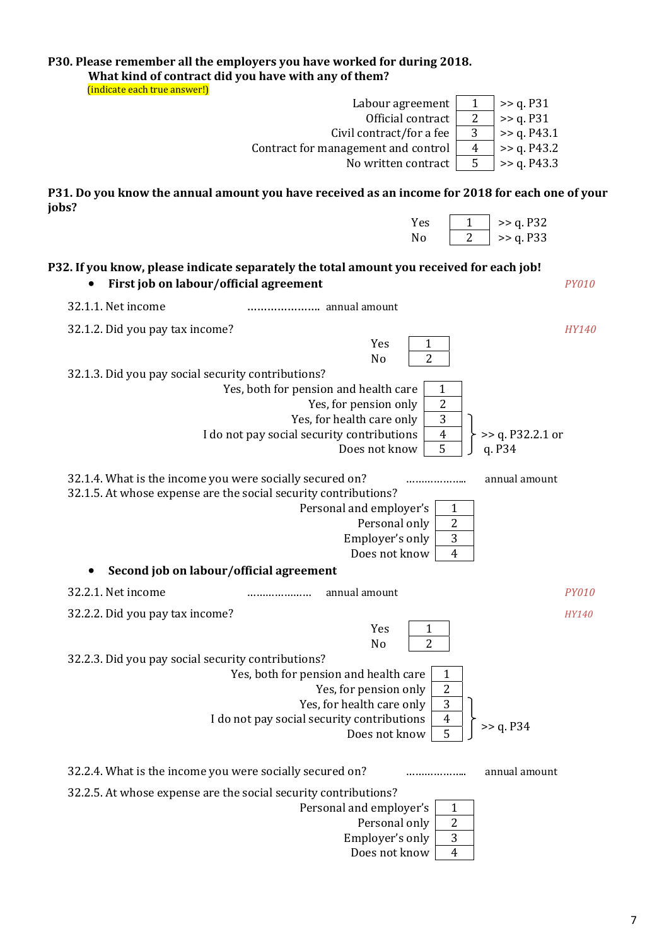| What kind of contract did you have with any of them?<br>(indicate each true answer!)                                                                                                                                         | P30. Please remember all the employers you have worked for during 2018.                                                                                                                                                                                                                                                                                                                              |              |
|------------------------------------------------------------------------------------------------------------------------------------------------------------------------------------------------------------------------------|------------------------------------------------------------------------------------------------------------------------------------------------------------------------------------------------------------------------------------------------------------------------------------------------------------------------------------------------------------------------------------------------------|--------------|
|                                                                                                                                                                                                                              | Labour agreement<br>1<br>>> q. P31                                                                                                                                                                                                                                                                                                                                                                   |              |
|                                                                                                                                                                                                                              | $\overline{2}$<br>Official contract<br>>> q. P31                                                                                                                                                                                                                                                                                                                                                     |              |
|                                                                                                                                                                                                                              | 3<br>Civil contract/for a fee<br>>> q. P43.1                                                                                                                                                                                                                                                                                                                                                         |              |
|                                                                                                                                                                                                                              | Contract for management and control<br>>> q. P43.2<br>$\overline{4}$                                                                                                                                                                                                                                                                                                                                 |              |
|                                                                                                                                                                                                                              | 5<br>>> q. P43.3<br>No written contract                                                                                                                                                                                                                                                                                                                                                              |              |
| jobs?                                                                                                                                                                                                                        | P31. Do you know the annual amount you have received as an income for 2018 for each one of your                                                                                                                                                                                                                                                                                                      |              |
|                                                                                                                                                                                                                              | >> q. P32<br>Yes<br>1<br>$\overline{2}$<br>>> q. P33<br>N <sub>o</sub>                                                                                                                                                                                                                                                                                                                               |              |
| First job on labour/official agreement                                                                                                                                                                                       | P32. If you know, please indicate separately the total amount you received for each job!                                                                                                                                                                                                                                                                                                             | <b>PY010</b> |
| 32.1.1. Net income                                                                                                                                                                                                           |                                                                                                                                                                                                                                                                                                                                                                                                      |              |
| 32.1.2. Did you pay tax income?                                                                                                                                                                                              | Yes<br>1                                                                                                                                                                                                                                                                                                                                                                                             | HY140        |
| 32.1.3. Did you pay social security contributions?<br>32.1.4. What is the income you were socially secured on?<br>32.1.5. At whose expense are the social security contributions?<br>Second job on labour/official agreement | $\overline{2}$<br>No<br>Yes, both for pension and health care<br>$\mathbf{1}$<br>$\sqrt{2}$<br>Yes, for pension only<br>3<br>Yes, for health care only<br>$\overline{4}$<br>I do not pay social security contributions<br>$>>$ q. P32.2.1 or<br>5<br>Does not know<br>q. P34<br>annual amount<br><br>Personal and employer's<br>1<br>Personal only<br>2<br>3<br>Employer's only<br>Does not know   4 |              |
| 32.2.1. Net income                                                                                                                                                                                                           | annual amount                                                                                                                                                                                                                                                                                                                                                                                        | <b>PY010</b> |
| 32.2.2. Did you pay tax income?                                                                                                                                                                                              | Yes<br>1<br>$\overline{2}$<br>No                                                                                                                                                                                                                                                                                                                                                                     | <i>HY140</i> |
| 32.2.3. Did you pay social security contributions?                                                                                                                                                                           | Yes, both for pension and health care<br>1<br>$\overline{2}$<br>Yes, for pension only<br>3<br>Yes, for health care only<br>$\overline{4}$<br>I do not pay social security contributions<br>>> q. P34<br>$\overline{5}$<br>Does not know                                                                                                                                                              |              |
| 32.2.4. What is the income you were socially secured on?                                                                                                                                                                     | annual amount                                                                                                                                                                                                                                                                                                                                                                                        |              |
| 32.2.5. At whose expense are the social security contributions?                                                                                                                                                              | Personal and employer's<br>1<br>$\overline{2}$<br>Personal only<br>3<br>Employer's only<br>Does not know<br>$\overline{4}$                                                                                                                                                                                                                                                                           |              |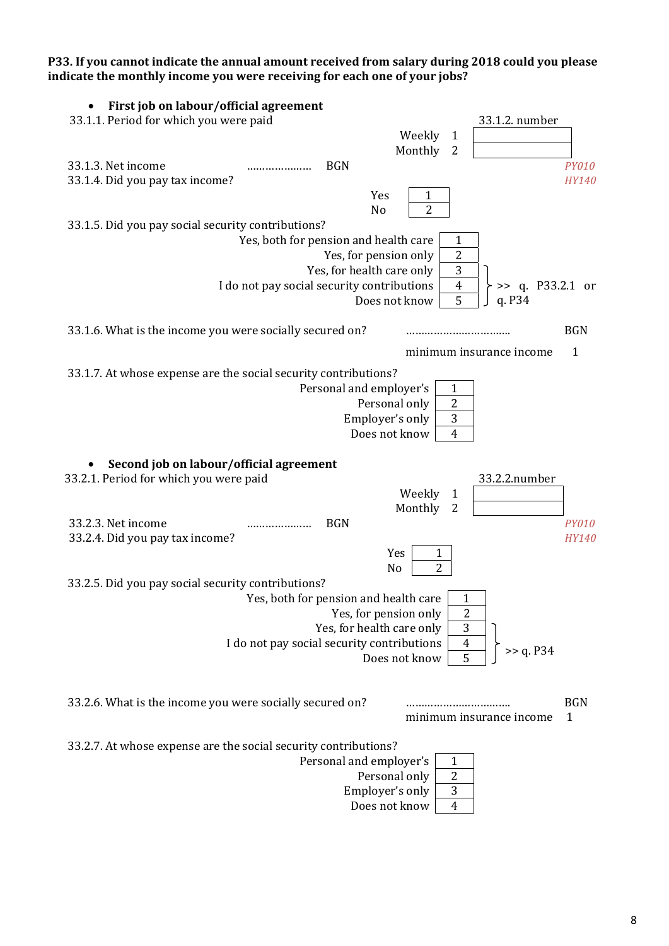**P33. If you cannot indicate the annual amount received from salary during 2018 could you please indicate the monthly income you were receiving for each one of your jobs?** 

| First job on labour/official agreement                                             |              |
|------------------------------------------------------------------------------------|--------------|
| 33.1.1. Period for which you were paid<br>33.1.2. number                           |              |
| Weekly<br>$\mathbf{1}$                                                             |              |
| Monthly<br>$\overline{2}$                                                          |              |
| 33.1.3. Net income<br><b>BGN</b><br>                                               | <b>PY010</b> |
| 33.1.4. Did you pay tax income?                                                    | HY140        |
| Yes<br>1                                                                           |              |
| 2<br>No                                                                            |              |
| 33.1.5. Did you pay social security contributions?                                 |              |
| Yes, both for pension and health care<br>$\mathbf{1}$                              |              |
| $\overline{2}$<br>Yes, for pension only                                            |              |
| $\mathbf{3}$<br>Yes, for health care only                                          |              |
| I do not pay social security contributions<br>$>>$ q. P33.2.1 or<br>$\overline{4}$ |              |
| 5<br>Does not know<br>q. P34                                                       |              |
| 33.1.6. What is the income you were socially secured on?                           | <b>BGN</b>   |
| minimum insurance income                                                           | $\mathbf{1}$ |
| 33.1.7. At whose expense are the social security contributions?                    |              |
| Personal and employer's<br>$\mathbf{1}$                                            |              |
| $\overline{2}$<br>Personal only                                                    |              |
| Employer's only<br>$\sqrt{3}$                                                      |              |
| Does not know<br>$\overline{4}$                                                    |              |
| Second job on labour/official agreement                                            |              |
| 33.2.1. Period for which you were paid<br>33.2.2.number                            |              |
| Weekly<br>1                                                                        |              |
| Monthly<br>2                                                                       |              |
| 33.2.3. Net income<br><b>BGN</b>                                                   | <b>PY010</b> |
| 33.2.4. Did you pay tax income?                                                    | HY140        |
| Yes<br>1                                                                           |              |
| $\overline{2}$<br>No                                                               |              |
| 33.2.5. Did you pay social security contributions?                                 |              |
| Yes, both for pension and health care<br>1                                         |              |
| $\overline{2}$<br>Yes, for pension only                                            |              |
| Yes, for health care only<br>3                                                     |              |
| I do not pay social security contributions<br>$\overline{4}$                       |              |
| >> q. P34<br>5<br>Does not know                                                    |              |
|                                                                                    |              |
| 33.2.6. What is the income you were socially secured on?                           | <b>BGN</b>   |
| minimum insurance income                                                           | 1            |
| 33.2.7. At whose expense are the social security contributions?                    |              |
| Personal and employer's<br>1                                                       |              |
| Personal only<br>2                                                                 |              |
| 3<br>Employer's only                                                               |              |
| Does not know<br>4                                                                 |              |
|                                                                                    |              |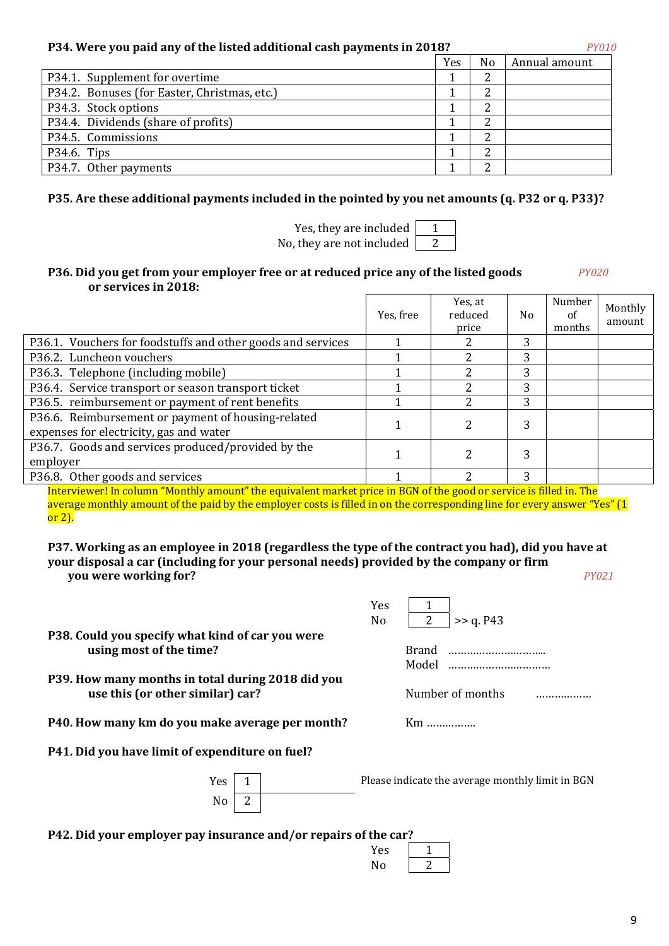## **P34. Were you paid any of the listed additional cash payments in 2018?**

|                                              | Yes | No | Annual amount |
|----------------------------------------------|-----|----|---------------|
| P34.1. Supplement for overtime               |     |    |               |
| P34.2. Bonuses (for Easter, Christmas, etc.) |     |    |               |
| P34.3. Stock options                         |     | ົ  |               |
| P34.4. Dividends (share of profits)          |     | າ  |               |
| P34.5. Commissions                           |     |    |               |
| P34.6. Tips                                  |     |    |               |
| P34.7. Other payments                        |     | ົ  |               |

## **P35. Are these additional payments included in the pointed by you net amounts (q. P32 or q. P33)?**

Yes, they are included  $\begin{vmatrix} 1 \\ 1 \end{vmatrix}$ No, they are not included  $\vert$  2

## **Р36. Did you get from your employer free or at reduced price any of the listed goods** *PY020* **or services in 2018:**

|                                                                                               | Yes, free | Yes, at<br>reduced<br>price | No. | Number<br>of<br>months | Monthly<br>amount |
|-----------------------------------------------------------------------------------------------|-----------|-----------------------------|-----|------------------------|-------------------|
| P36.1. Vouchers for foodstuffs and other goods and services                                   |           |                             | 3   |                        |                   |
| P36.2. Luncheon vouchers                                                                      |           |                             | 3   |                        |                   |
| P36.3. Telephone (including mobile)                                                           |           |                             | 3   |                        |                   |
| P36.4. Service transport or season transport ticket                                           |           |                             | 3   |                        |                   |
| P36.5. reimbursement or payment of rent benefits                                              |           | າ                           | 3   |                        |                   |
| P36.6. Reimbursement or payment of housing-related<br>expenses for electricity, gas and water |           |                             | 3   |                        |                   |
| P36.7. Goods and services produced/provided by the<br>employer                                |           |                             | 3   |                        |                   |
| P36.8. Other goods and services                                                               |           | າ                           | 3   |                        |                   |

Interviewer! In column "Monthly amount" the equivalent market price in BGN of the good or service is filled in. The average monthly amount of the paid by the employer costs is filled in on the corresponding line for every answer "Yes" (1 or 2).

**P37. Working as an employee in 2018 (regardless the type of the contract you had), did you have at your disposal a car (including for your personal needs) provided by the company or firm you were working for?** *PY021* 

|                                                                                       |  | Yes |                                                  |
|---------------------------------------------------------------------------------------|--|-----|--------------------------------------------------|
|                                                                                       |  | No  | 2<br>>> q. P43                                   |
| P38. Could you specify what kind of car you were                                      |  |     |                                                  |
| using most of the time?                                                               |  |     | Brand                                            |
|                                                                                       |  |     | Model                                            |
| P39. How many months in total during 2018 did you<br>use this (or other similar) car? |  |     | Number of months                                 |
| P40. How many km do you make average per month?                                       |  |     | $Km$                                             |
| P41. Did you have limit of expenditure on fuel?                                       |  |     |                                                  |
| <b>Yes</b>                                                                            |  |     | Please indicate the average monthly limit in BGN |
| No.                                                                                   |  |     |                                                  |
|                                                                                       |  |     |                                                  |

**Р42. Did your employer pay insurance and/or repairs of the car?** 

| ule car : |  |
|-----------|--|
| Yes       |  |
| No        |  |
|           |  |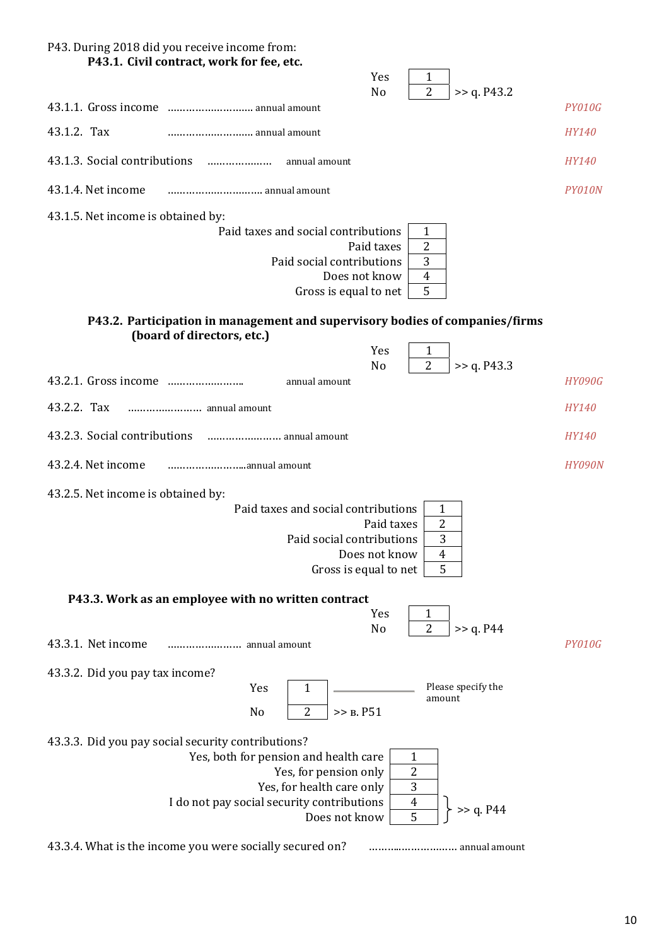## P43. During 2018 did you receive income from: **P43.1. Civil contract, work for fee, etc.**

|                                                                                                            | Yes<br>$\mathbf{1}$<br>$\overline{2}$           |               |
|------------------------------------------------------------------------------------------------------------|-------------------------------------------------|---------------|
|                                                                                                            | N <sub>o</sub><br>>> q. P43.2                   | PY010G        |
| 43.1.2. Tax<br>annual amount                                                                               |                                                 | <b>HY140</b>  |
| 43.1.3. Social contributions<br>annual amount                                                              |                                                 | <i>HY140</i>  |
| 43.1.4. Net income                                                                                         |                                                 | PY010N        |
| 43.1.5. Net income is obtained by:                                                                         |                                                 |               |
| Paid taxes and social contributions                                                                        | 1                                               |               |
| Paid social contributions                                                                                  | 2<br>Paid taxes<br>3                            |               |
|                                                                                                            | Does not know<br>$\overline{4}$                 |               |
| Gross is equal to net                                                                                      | 5                                               |               |
| P43.2. Participation in management and supervisory bodies of companies/firms<br>(board of directors, etc.) |                                                 |               |
|                                                                                                            | Yes<br>$\mathbf{1}$                             |               |
|                                                                                                            | $\overline{2}$<br>N <sub>o</sub><br>>> q. P43.3 |               |
| annual amount                                                                                              |                                                 | <b>HY090G</b> |
| 43.2.2. Tax                                                                                                |                                                 | <b>HY140</b>  |
| 43.2.3. Social contributions<br>annual amount                                                              |                                                 | <b>HY140</b>  |
| 43.2.4. Net income                                                                                         |                                                 | <b>HY090N</b> |
| 43.2.5. Net income is obtained by:                                                                         |                                                 |               |
| Paid taxes and social contributions                                                                        | $\mathbf{1}$                                    |               |
| Paid social contributions                                                                                  | 2<br>Paid taxes<br>3                            |               |
|                                                                                                            | Does not know<br>$\overline{4}$                 |               |
|                                                                                                            | 5<br>Gross is equal to net                      |               |
| P43.3. Work as an employee with no written contract                                                        |                                                 |               |
|                                                                                                            | Yes<br>1                                        |               |
| 43.3.1. Net income                                                                                         | $\overline{2}$<br>>> q. P44<br>No               | <b>PY010G</b> |
| 43.3.2. Did you pay tax income?                                                                            |                                                 |               |
| Yes<br>1                                                                                                   | Please specify the<br>amount                    |               |
| $\overline{2}$<br>No                                                                                       | >> B. P51                                       |               |
| 43.3.3. Did you pay social security contributions?                                                         |                                                 |               |
| Yes, both for pension and health care                                                                      | 1                                               |               |
| Yes, for pension only<br>Yes, for health care only                                                         | $\overline{c}$<br>$\overline{3}$                |               |
| I do not pay social security contributions                                                                 | $\boldsymbol{4}$<br>>> q. P44                   |               |
| Does not know                                                                                              | 5                                               |               |

43.3.4. What is the income you were socially secured on? ………..……………… annual amount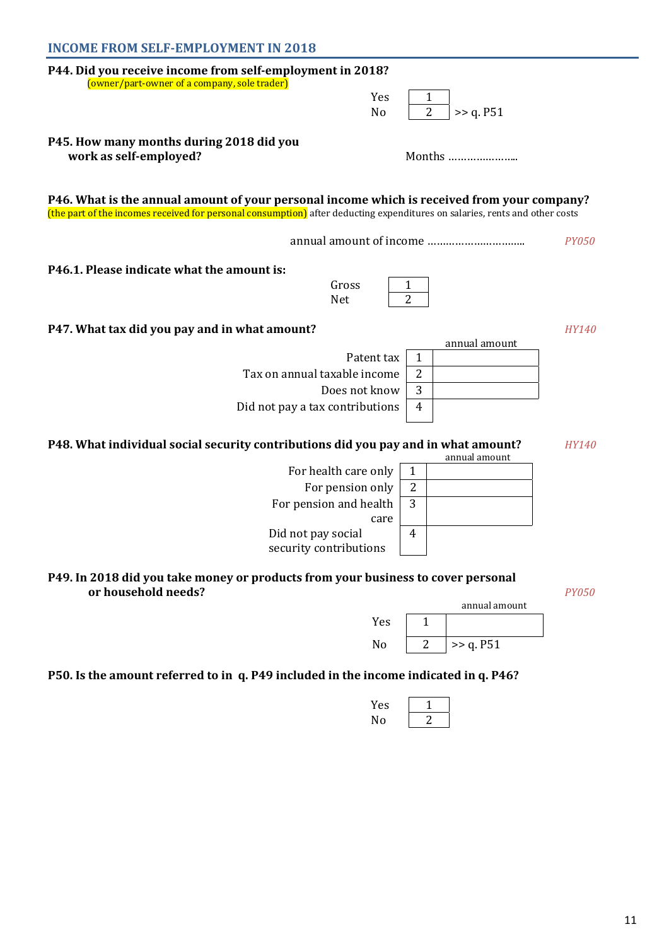| <b>INCOME FROM SELF-EMPLOYMENT IN 2018</b>                                                                                                                                                                                 |                     |               |              |
|----------------------------------------------------------------------------------------------------------------------------------------------------------------------------------------------------------------------------|---------------------|---------------|--------------|
| P44. Did you receive income from self-employment in 2018?                                                                                                                                                                  |                     |               |              |
| (owner/part-owner of a company, sole trader)<br>Yes                                                                                                                                                                        | 1                   |               |              |
| No                                                                                                                                                                                                                         | $\overline{2}$      | >> q. P51     |              |
| P45. How many months during 2018 did you<br>work as self-employed?                                                                                                                                                         |                     | Months        |              |
| P46. What is the annual amount of your personal income which is received from your company?<br>(the part of the incomes received for personal consumption) after deducting expenditures on salaries, rents and other costs |                     |               |              |
|                                                                                                                                                                                                                            |                     |               | <i>PY050</i> |
| P46.1. Please indicate what the amount is:<br>Gross<br>Net                                                                                                                                                                 | 1<br>$\overline{2}$ |               |              |
| P47. What tax did you pay and in what amount?                                                                                                                                                                              |                     |               | <i>HY140</i> |
| Patent tax                                                                                                                                                                                                                 | 1                   | annual amount |              |
| Tax on annual taxable income                                                                                                                                                                                               | 2                   |               |              |
| Does not know                                                                                                                                                                                                              | 3                   |               |              |
| Did not pay a tax contributions                                                                                                                                                                                            | 4                   |               |              |
| P48. What individual social security contributions did you pay and in what amount?                                                                                                                                         |                     | annual amount | <b>HY140</b> |
| For health care only                                                                                                                                                                                                       | $\mathbf{1}$        |               |              |
| For pension only                                                                                                                                                                                                           | $\overline{2}$      |               |              |
| For pension and health<br>care                                                                                                                                                                                             | 3                   |               |              |
| Did not pay social<br>security contributions                                                                                                                                                                               | 4                   |               |              |
| P49. In 2018 did you take money or products from your business to cover personal<br>or household needs?                                                                                                                    |                     |               | <b>PY050</b> |
|                                                                                                                                                                                                                            |                     | annual amount |              |
| Yes                                                                                                                                                                                                                        | $\mathbf{1}$        |               |              |
| No                                                                                                                                                                                                                         | $\overline{2}$      | >> q. P51     |              |

## **Р50. Is the amount referred to in q. Р49 included in the income indicated in q. Р46?**

| res d'<br>$\cdot$ |  |
|-------------------|--|
| Nο                |  |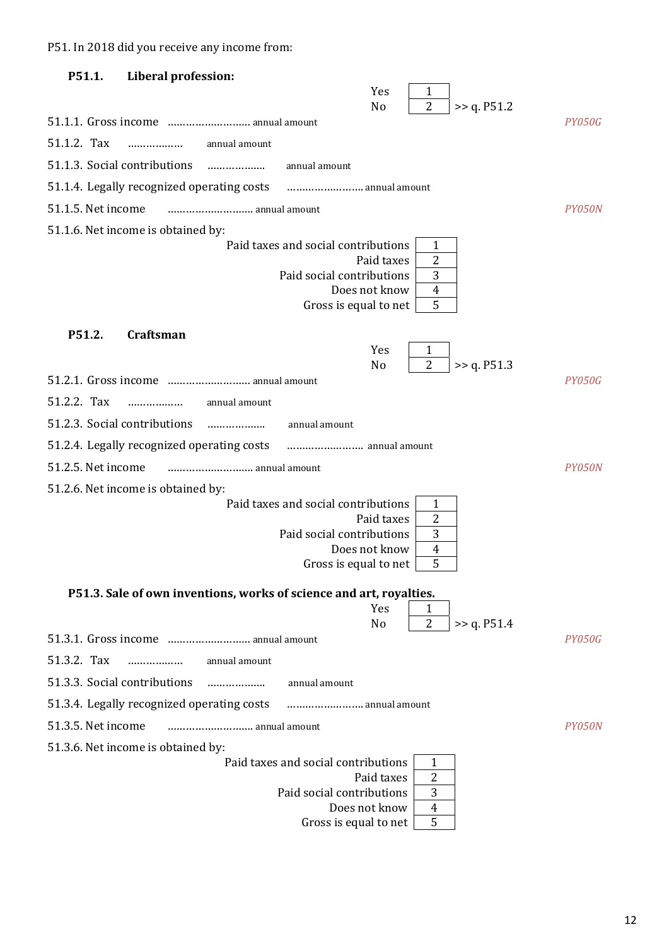Р51. In 2018 did you receive any income from:

| P51.1.             | Liberal profession:                        |               |                                                                     |                                    |               |
|--------------------|--------------------------------------------|---------------|---------------------------------------------------------------------|------------------------------------|---------------|
|                    |                                            |               | Yes<br>No                                                           | 1<br>$\overline{2}$<br>>> q. P51.2 |               |
|                    | 51.1.1. Gross income  annual amount        |               |                                                                     |                                    | PY050G        |
| 51.1.2. Tax        | .                                          | annual amount |                                                                     |                                    |               |
|                    | 51.1.3. Social contributions               |               | annual amount                                                       |                                    |               |
|                    | 51.1.4. Legally recognized operating costs |               | annual amount                                                       |                                    |               |
| 51.1.5. Net income |                                            | annual amount |                                                                     |                                    | PY050N        |
|                    | 51.1.6. Net income is obtained by:         |               |                                                                     |                                    |               |
|                    |                                            |               | Paid taxes and social contributions                                 | 1                                  |               |
|                    |                                            |               | Paid taxes<br>Paid social contributions                             | 2<br>3                             |               |
|                    |                                            |               | Does not know                                                       | $\overline{4}$                     |               |
|                    |                                            |               | Gross is equal to net                                               | 5                                  |               |
| P51.2.             | <b>Craftsman</b>                           |               |                                                                     |                                    |               |
|                    |                                            |               | Yes                                                                 |                                    |               |
|                    | 51.2.1. Gross income  annual amount        |               | N <sub>o</sub>                                                      | $\overline{2}$<br>>> q. P51.3      | <b>PY050G</b> |
| 51.2.2. Tax        | .                                          | annual amount |                                                                     |                                    |               |
|                    | 51.2.3. Social contributions               |               | annual amount                                                       |                                    |               |
|                    | 51.2.4. Legally recognized operating costs |               |                                                                     |                                    |               |
| 51.2.5. Net income |                                            |               |                                                                     |                                    | PY050N        |
|                    | 51.2.6. Net income is obtained by:         |               |                                                                     |                                    |               |
|                    |                                            |               | Paid taxes and social contributions                                 | 1                                  |               |
|                    |                                            |               | Paid taxes<br>Paid social contributions                             | 2<br>3                             |               |
|                    |                                            |               | Does not know                                                       | $\overline{4}$                     |               |
|                    |                                            |               | Gross is equal to net                                               | 5                                  |               |
|                    |                                            |               | P51.3. Sale of own inventions, works of science and art, royalties. |                                    |               |
|                    |                                            |               | Yes                                                                 | 1<br>$\overline{2}$                |               |
|                    |                                            |               | No                                                                  | >> q. P51.4                        | PY050G        |
| 51.3.2. Tax        | .                                          | annual amount |                                                                     |                                    |               |
|                    | 51.3.3. Social contributions               | .             | annual amount                                                       |                                    |               |
|                    | 51.3.4. Legally recognized operating costs |               | annual amount                                                       |                                    |               |
| 51.3.5. Net income |                                            | annual amount |                                                                     |                                    | PY050N        |
|                    | 51.3.6. Net income is obtained by:         |               |                                                                     |                                    |               |
|                    |                                            |               | Paid taxes and social contributions                                 | 1                                  |               |
|                    |                                            |               | Paid taxes<br>Paid social contributions                             | 2<br>3                             |               |
|                    |                                            |               | Does not know                                                       | 4                                  |               |
|                    |                                            |               | Gross is equal to net                                               | 5                                  |               |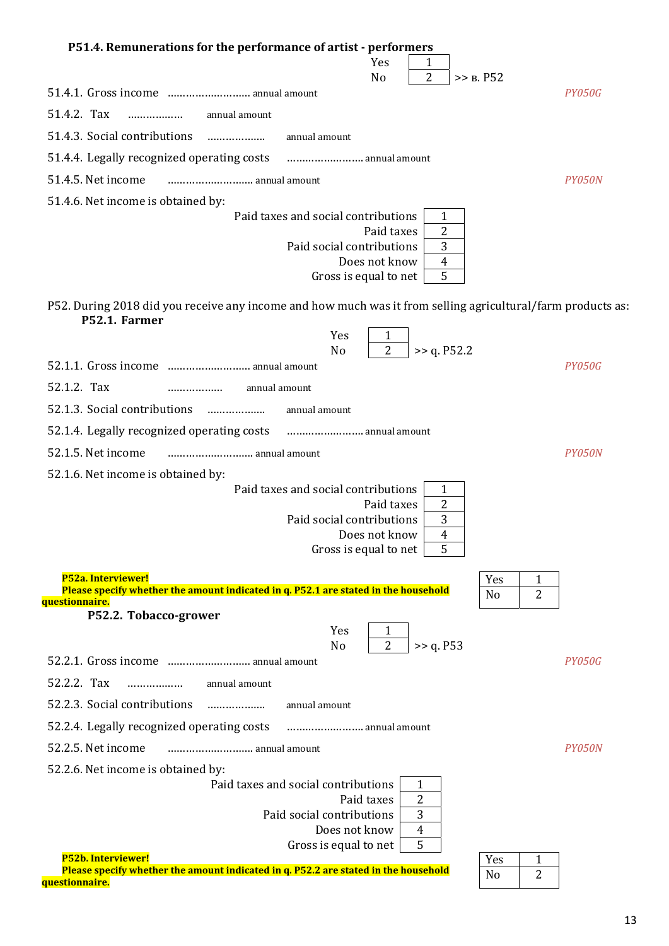| P51.4. Remunerations for the performance of artist - performers                                                                                           |  |
|-----------------------------------------------------------------------------------------------------------------------------------------------------------|--|
| Yes<br>1<br>2                                                                                                                                             |  |
| N <sub>o</sub><br>>> B. P52<br>51.4.1. Gross income  annual amount<br>PY050G                                                                              |  |
| 51.4.2. Tax<br>annual amount                                                                                                                              |  |
| 51.4.3. Social contributions<br>annual amount                                                                                                             |  |
| 51.4.4. Legally recognized operating costs  annual amount                                                                                                 |  |
| 51.4.5. Net income<br>PY050N                                                                                                                              |  |
|                                                                                                                                                           |  |
| 51.4.6. Net income is obtained by:<br>Paid taxes and social contributions<br>1                                                                            |  |
| 2<br>Paid taxes                                                                                                                                           |  |
| 3<br>Paid social contributions<br>Does not know<br>$\overline{4}$                                                                                         |  |
| 5<br>Gross is equal to net                                                                                                                                |  |
|                                                                                                                                                           |  |
| P52. During 2018 did you receive any income and how much was it from selling agricultural/farm products as:<br>P52.1. Farmer                              |  |
| Yes<br>1                                                                                                                                                  |  |
| 2<br>N <sub>o</sub><br>>> q. P52.2<br>52.1.1. Gross income  annual amount<br><b>PY050G</b>                                                                |  |
| 52.1.2. Tax<br>annual amount                                                                                                                              |  |
| 52.1.3. Social contributions<br>annual amount                                                                                                             |  |
| 52.1.4. Legally recognized operating costs<br>annual amount                                                                                               |  |
| 52.1.5. Net income<br>PY050N<br>annual amount                                                                                                             |  |
| 52.1.6. Net income is obtained by:                                                                                                                        |  |
| Paid taxes and social contributions<br>1                                                                                                                  |  |
| $\overline{2}$<br>Paid taxes                                                                                                                              |  |
| 3<br>Paid social contributions<br>$\overline{4}$<br>Does not know                                                                                         |  |
| Gross is equal to net<br>5                                                                                                                                |  |
| P52a. Interviewer!<br>Yes<br>1                                                                                                                            |  |
| Please specify whether the amount indicated in q. P52.1 are stated in the household<br>$\overline{2}$<br>N <sub>0</sub>                                   |  |
| <u>questionnaire.</u><br>P52.2. Tobacco-grower                                                                                                            |  |
| Yes<br>1<br>$\overline{2}$                                                                                                                                |  |
| >> q. P53<br>N <sub>o</sub><br>52.2.1. Gross income  annual amount<br>PY050G                                                                              |  |
| 52.2.2. Tax<br>annual amount<br>.                                                                                                                         |  |
| 52.2.3. Social contributions<br>annual amount                                                                                                             |  |
| 52.2.4. Legally recognized operating costs  annual amount                                                                                                 |  |
| 52.2.5. Net income<br><i>PY050N</i>                                                                                                                       |  |
| 52.2.6. Net income is obtained by:                                                                                                                        |  |
| Paid taxes and social contributions<br>1                                                                                                                  |  |
| 2<br>Paid taxes<br>3<br>Paid social contributions                                                                                                         |  |
| Does not know<br>4                                                                                                                                        |  |
| 5<br>Gross is equal to net                                                                                                                                |  |
| P52b. Interviewer!<br>Yes<br>1<br>Please specify whether the amount indicated in q. P52.2 are stated in the household<br>$\overline{2}$<br>N <sub>0</sub> |  |
| questionnaire.                                                                                                                                            |  |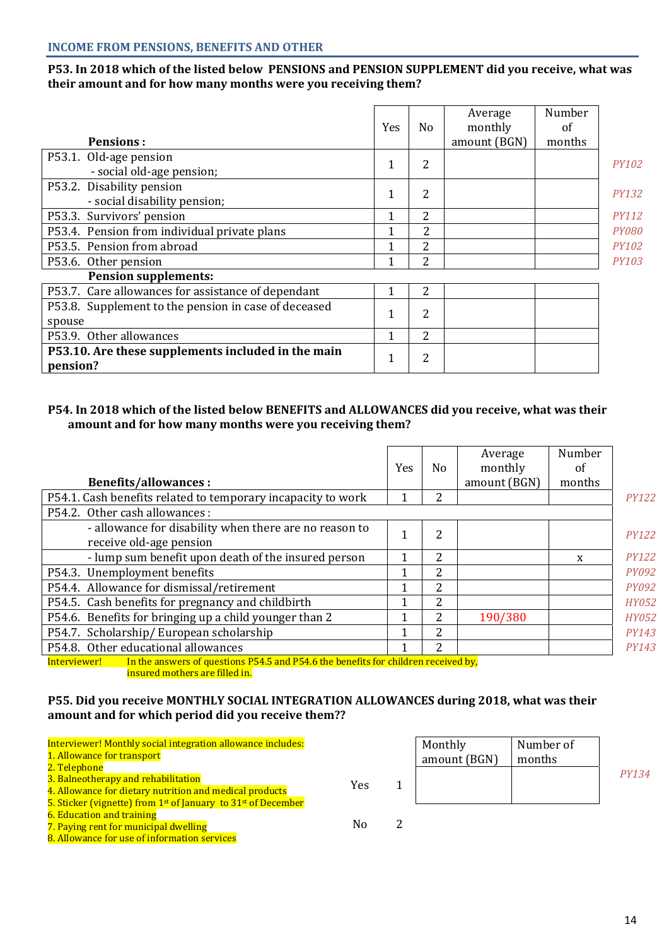## **Р53. In 2018 which of the listed below PENSIONS and PENSION SUPPLEMENT did you receive, what was their amount and for how many months were you receiving them?**

| <b>Pensions:</b>                                               | Yes | No | Average<br>monthly<br>amount (BGN) | Number<br>of<br>months |              |
|----------------------------------------------------------------|-----|----|------------------------------------|------------------------|--------------|
|                                                                |     |    |                                    |                        |              |
| P53.1. Old-age pension<br>- social old-age pension;            | 1   | 2  |                                    |                        | <b>PY102</b> |
| P53.2. Disability pension<br>- social disability pension;      | 1   | 2  |                                    |                        | <b>PY132</b> |
| P53.3. Survivors' pension                                      | 1   | 2  |                                    |                        | <b>PY112</b> |
| P53.4. Pension from individual private plans                   |     | 2  |                                    |                        | <b>PY080</b> |
| P53.5. Pension from abroad                                     |     | 2  |                                    |                        | <b>PY102</b> |
| P53.6. Other pension                                           |     | 2  |                                    |                        | <b>PY103</b> |
| <b>Pension supplements:</b>                                    |     |    |                                    |                        |              |
| P53.7. Care allowances for assistance of dependant             |     | 2  |                                    |                        |              |
| P53.8. Supplement to the pension in case of deceased<br>spouse | 1   | 2  |                                    |                        |              |
| P53.9. Other allowances                                        |     | 2  |                                    |                        |              |
| P53.10. Are these supplements included in the main<br>pension? | T   | 2  |                                    |                        |              |

## **P54. In 2018 which of the listed below BENEFITS and ALLOWANCES did you receive, what was their amount and for how many months were you receiving them?**

|                                                                                                    | <b>Yes</b> | No             | Average<br>monthly | Number<br>οf |              |
|----------------------------------------------------------------------------------------------------|------------|----------------|--------------------|--------------|--------------|
| <b>Benefits/allowances:</b>                                                                        |            |                | amount (BGN)       | months       |              |
| P54.1. Cash benefits related to temporary incapacity to work                                       | 1          | 2              |                    |              | <b>PY122</b> |
| P54.2. Other cash allowances :                                                                     |            |                |                    |              |              |
| - allowance for disability when there are no reason to<br>receive old-age pension                  |            | $\overline{2}$ |                    |              | <b>PY122</b> |
| - lump sum benefit upon death of the insured person                                                |            | 2              |                    | X            | <b>PY122</b> |
| P54.3. Unemployment benefits                                                                       |            | 2              |                    |              | <b>PY092</b> |
| P54.4. Allowance for dismissal/retirement                                                          | 1          | 2              |                    |              | <b>PY092</b> |
| P54.5. Cash benefits for pregnancy and childbirth                                                  |            | 2              |                    |              | <b>HY052</b> |
| P54.6. Benefits for bringing up a child younger than 2                                             | 1          | 2              | 190/380            |              | <b>HY052</b> |
| P54.7. Scholarship/European scholarship                                                            | 1          | 2              |                    |              | <b>PY143</b> |
| P54.8. Other educational allowances                                                                | 1          | 2              |                    |              | <i>PY143</i> |
| In the answers of questions P54.5 and P54.6 the benefits for children received by,<br>Interviewer! |            |                |                    |              |              |

insured mothers are filled in.

## **P55. Did you receive MONTHLY SOCIAL INTEGRATION ALLOWANCES during 2018, what was their amount and for which period did you receive them??**

| Interviewer! Monthly social integration allowance includes:<br>1. Allowance for transport                                                                                                                          |     | Monthly<br>amount (BGN) | Number of<br>months |       |
|--------------------------------------------------------------------------------------------------------------------------------------------------------------------------------------------------------------------|-----|-------------------------|---------------------|-------|
| 2. Telephone<br>3. Balneotherapy and rehabilitation<br>4. Allowance for dietary nutrition and medical products                                                                                                     | Yes |                         |                     | PY134 |
| 5. Sticker (vignette) from 1 <sup>st</sup> of January to 31 <sup>st</sup> of December<br><b>6. Education and training</b><br>7. Paying rent for municipal dwelling<br>8. Allowance for use of information services | No  |                         |                     |       |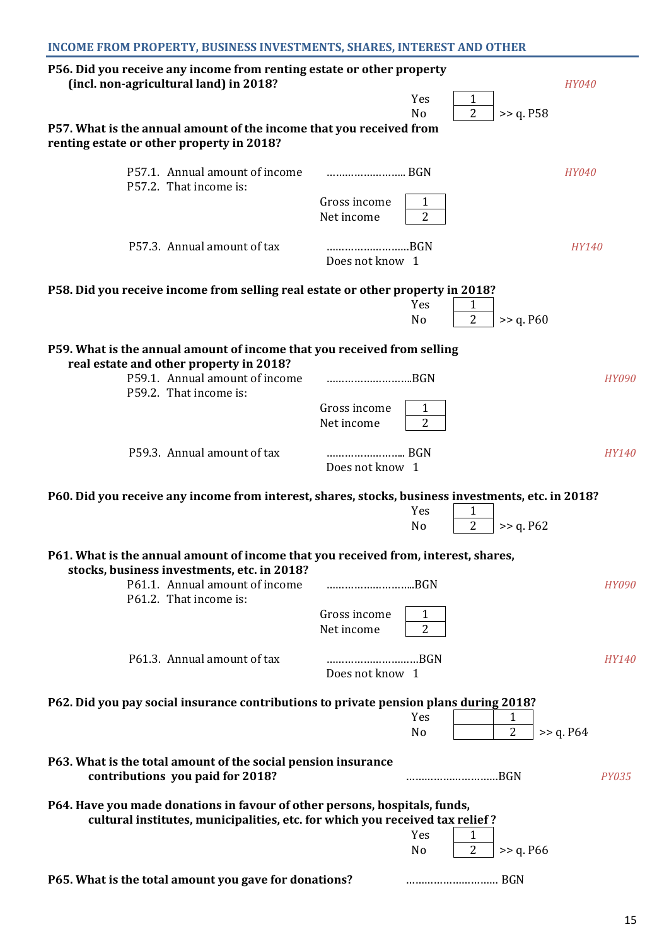| P56. Did you receive any income from renting estate or other property<br>(incl. non-agricultural land) in 2018?                                            |                            |                       |                     |                     | <b>HY040</b> |
|------------------------------------------------------------------------------------------------------------------------------------------------------------|----------------------------|-----------------------|---------------------|---------------------|--------------|
|                                                                                                                                                            |                            | Yes                   | $\mathbf{1}$        |                     |              |
| P57. What is the annual amount of the income that you received from<br>renting estate or other property in 2018?                                           |                            | N <sub>o</sub>        | $\overline{2}$      | >> q. P58           |              |
| P57.1. Annual amount of income<br>P57.2. That income is:                                                                                                   |                            |                       |                     |                     | <i>HY040</i> |
|                                                                                                                                                            | Gross income<br>Net income | 1<br>$\overline{2}$   |                     |                     |              |
| P57.3. Annual amount of tax                                                                                                                                | BGN<br>Does not know 1     |                       |                     |                     | <b>HY140</b> |
| P58. Did you receive income from selling real estate or other property in 2018?                                                                            |                            |                       |                     |                     |              |
|                                                                                                                                                            |                            | Yes<br>No             | 1<br>$\overline{2}$ | >> q. P60           |              |
| P59. What is the annual amount of income that you received from selling<br>real estate and other property in 2018?                                         |                            |                       |                     |                     |              |
| P59.1. Annual amount of income<br>P59.2. That income is:                                                                                                   | BGN                        |                       |                     |                     | <b>HY090</b> |
|                                                                                                                                                            | Gross income<br>Net income | 1<br>$\overline{2}$   |                     |                     |              |
| P59.3. Annual amount of tax                                                                                                                                | Does not know 1            |                       |                     |                     | HY140        |
| P60. Did you receive any income from interest, shares, stocks, business investments, etc. in 2018?                                                         |                            |                       |                     |                     |              |
|                                                                                                                                                            |                            | Yes<br>No             | 1<br>2              | >> q. P62           |              |
| P61. What is the annual amount of income that you received from, interest, shares,<br>stocks, business investments, etc. in 2018?                          |                            |                       |                     |                     |              |
| P61.1. Annual amount of income<br>P61.2. That income is:                                                                                                   | BGN                        |                       |                     |                     | <b>HY090</b> |
|                                                                                                                                                            | Gross income<br>Net income | 1<br>$\overline{2}$   |                     |                     |              |
| P61.3. Annual amount of tax                                                                                                                                | BGN<br>Does not know 1     |                       |                     |                     | <b>HY140</b> |
| P62. Did you pay social insurance contributions to private pension plans during 2018?                                                                      |                            |                       |                     |                     |              |
|                                                                                                                                                            |                            | Yes<br>No             |                     | 1<br>$\overline{2}$ | >> q. P64    |
| P63. What is the total amount of the social pension insurance<br>contributions you paid for 2018?                                                          |                            |                       | BGN                 |                     | <i>PY035</i> |
| P64. Have you made donations in favour of other persons, hospitals, funds,<br>cultural institutes, municipalities, etc. for which you received tax relief? |                            |                       |                     |                     |              |
|                                                                                                                                                            |                            | Yes<br>N <sub>o</sub> | 1<br>$\overline{2}$ | >> q. P66           |              |
| P65. What is the total amount you gave for donations?                                                                                                      |                            |                       |                     |                     |              |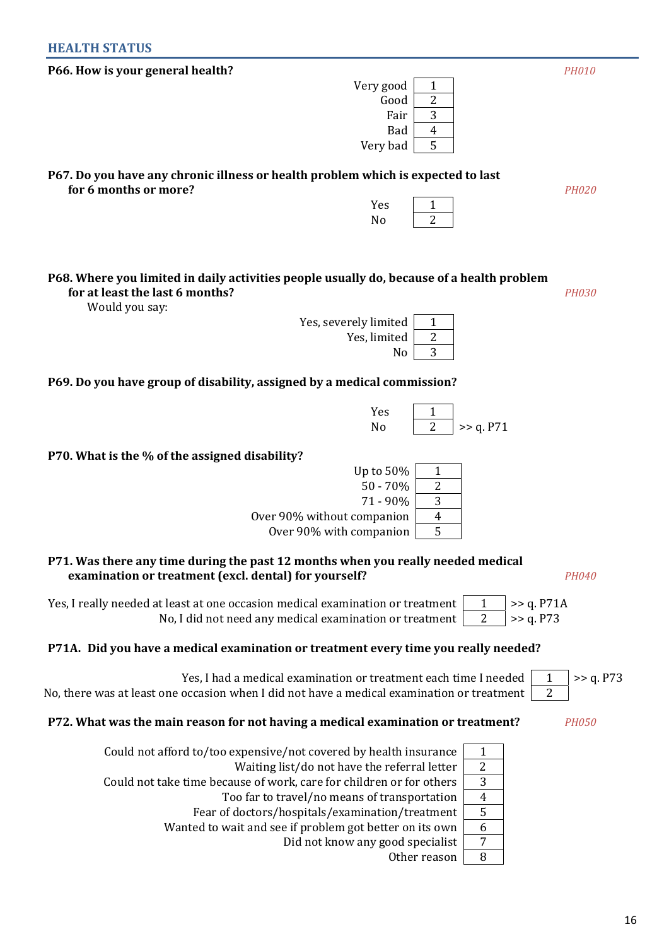## **HEALTH STATUS**

| P66. How is your general health?                                                                                                          |                                                                  | <b>PH010</b>   |
|-------------------------------------------------------------------------------------------------------------------------------------------|------------------------------------------------------------------|----------------|
|                                                                                                                                           | Very good<br>1                                                   |                |
|                                                                                                                                           | $\overline{c}$<br>Good                                           |                |
|                                                                                                                                           | 3<br>Fair                                                        |                |
|                                                                                                                                           | Bad<br>$\overline{4}$                                            |                |
|                                                                                                                                           | 5<br>Very bad                                                    |                |
| P67. Do you have any chronic illness or health problem which is expected to last                                                          |                                                                  |                |
| for 6 months or more?                                                                                                                     |                                                                  | <b>PH020</b>   |
|                                                                                                                                           | Yes<br>1                                                         |                |
|                                                                                                                                           | $\overline{2}$<br>No                                             |                |
|                                                                                                                                           |                                                                  |                |
| P68. Where you limited in daily activities people usually do, because of a health problem                                                 |                                                                  |                |
| for at least the last 6 months?                                                                                                           |                                                                  | <b>PH030</b>   |
| Would you say:                                                                                                                            | Yes, severely limited<br>$\mathbf{1}$                            |                |
|                                                                                                                                           | 2<br>Yes, limited                                                |                |
|                                                                                                                                           | 3<br>No                                                          |                |
|                                                                                                                                           |                                                                  |                |
| P69. Do you have group of disability, assigned by a medical commission?                                                                   |                                                                  |                |
|                                                                                                                                           | Yes<br>1                                                         |                |
|                                                                                                                                           | $\overline{2}$<br>No<br>>> q. P71                                |                |
|                                                                                                                                           |                                                                  |                |
| P70. What is the % of the assigned disability?                                                                                            |                                                                  |                |
|                                                                                                                                           | Up to 50%<br>1                                                   |                |
|                                                                                                                                           | $\overline{2}$<br>$50 - 70%$                                     |                |
| Over 90% without companion                                                                                                                | 3<br>71 - 90%<br>$\overline{\mathbf{4}}$                         |                |
| Over 90% with companion                                                                                                                   | 5                                                                |                |
|                                                                                                                                           |                                                                  |                |
| P71. Was there any time during the past 12 months when you really needed medical<br>examination or treatment (excl. dental) for yourself? |                                                                  | <b>PH040</b>   |
|                                                                                                                                           |                                                                  |                |
| Yes, I really needed at least at one occasion medical examination or treatment                                                            |                                                                  | >> q. P71A     |
| No, I did not need any medical examination or treatment                                                                                   | $\overline{2}$                                                   | >> q. P73      |
| P71A. Did you have a medical examination or treatment every time you really needed?                                                       |                                                                  |                |
|                                                                                                                                           | Yes, I had a medical examination or treatment each time I needed | >> q. P73<br>1 |
| No, there was at least one occasion when I did not have a medical examination or treatment                                                |                                                                  | $\overline{2}$ |
| P72. What was the main reason for not having a medical examination or treatment?                                                          |                                                                  | <b>PH050</b>   |
|                                                                                                                                           |                                                                  |                |
| Could not afford to/too expensive/not covered by health insurance                                                                         | 1                                                                |                |
|                                                                                                                                           | $\sqrt{2}$<br>Waiting list/do not have the referral letter       |                |
| Could not take time because of work, care for children or for others                                                                      | 3                                                                |                |
| Too far to travel/no means of transportation                                                                                              | $\overline{4}$<br>5                                              |                |
| Fear of doctors/hospitals/examination/treatment<br>Wanted to wait and see if problem got better on its own                                | 6                                                                |                |
|                                                                                                                                           |                                                                  |                |

Did not know any good specialist | 7

Other reason  $8$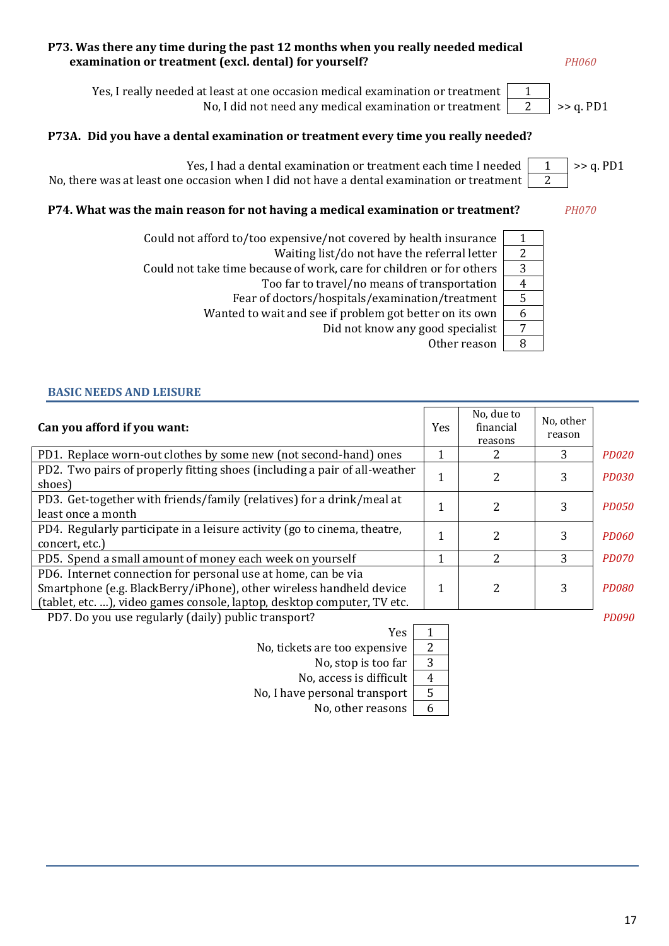## **P73. Was there any time during the past 12 months when you really needed medical examination or treatment (excl. dental) for yourself?** *PH060*

Yes, I really needed at least at one occasion medical examination or treatment 1 No, I did not need any medical examination or treatment 2 >> q. PD1

## **Р73А. Did you have a dental examination or treatment every time you really needed?**



## **P74. What was the main reason for not having a medical examination or treatment?** *PH070*

Could not afford to/too expensive/not covered by health insurance  $\begin{vmatrix} 1 & 1 \\ 1 & 1 \end{vmatrix}$ 

Waiting list/do not have the referral letter  $\vert 2 \rangle$ 

Could not take time because of work, care for children or for others | 3

Too far to travel/no means of transportation  $\begin{vmatrix} 4 \end{vmatrix}$ 

Fear of doctors/hospitals/examination/treatment | 5 Wanted to wait and see if problem got better on its own  $\begin{vmatrix} 6 \end{vmatrix}$ 

Did not know any good specialist  $\sqrt{7}$ 

Other reason  $8$ 

**BASIC NEEDS AND LEISURE** 

| Can you afford if you want:                                                                                                                                                                                     | Yes | No, due to<br>financial<br>reasons | No, other<br>reason |              |
|-----------------------------------------------------------------------------------------------------------------------------------------------------------------------------------------------------------------|-----|------------------------------------|---------------------|--------------|
| PD1. Replace worn-out clothes by some new (not second-hand) ones                                                                                                                                                | 1   | 2                                  | 3                   | <b>PD020</b> |
| PD2. Two pairs of properly fitting shoes (including a pair of all-weather<br>shoes)                                                                                                                             | 1   | 2                                  | 3                   | <b>PD030</b> |
| PD3. Get-together with friends/family (relatives) for a drink/meal at<br>least once a month                                                                                                                     | 1   | 2                                  | 3                   | <i>PD050</i> |
| PD4. Regularly participate in a leisure activity (go to cinema, theatre,<br>concert, etc.)                                                                                                                      | 1   | 2                                  | 3                   | PD060        |
| PD5. Spend a small amount of money each week on yourself                                                                                                                                                        | 1   | $\overline{\mathcal{L}}$           | 3                   | <b>PD070</b> |
| PD6. Internet connection for personal use at home, can be via<br>Smartphone (e.g. BlackBerry/iPhone), other wireless handheld device<br>(tablet, etc. ), video games console, laptop, desktop computer, TV etc. | 1   | 2                                  | 3                   | PD080        |
| PD7. Do you use regularly (daily) public transport?                                                                                                                                                             |     |                                    |                     | PD090        |

Yes 1 No, tickets are too expensive  $\begin{vmatrix} 2 \end{vmatrix}$ 

No, stop is too far  $\boxed{3}$ 

No, access is difficult  $\begin{vmatrix} 4 \end{vmatrix}$ 

No, I have personal transport  $\vert 5 \rangle$ 

No, other reasons  $\begin{vmatrix} 6 \end{vmatrix}$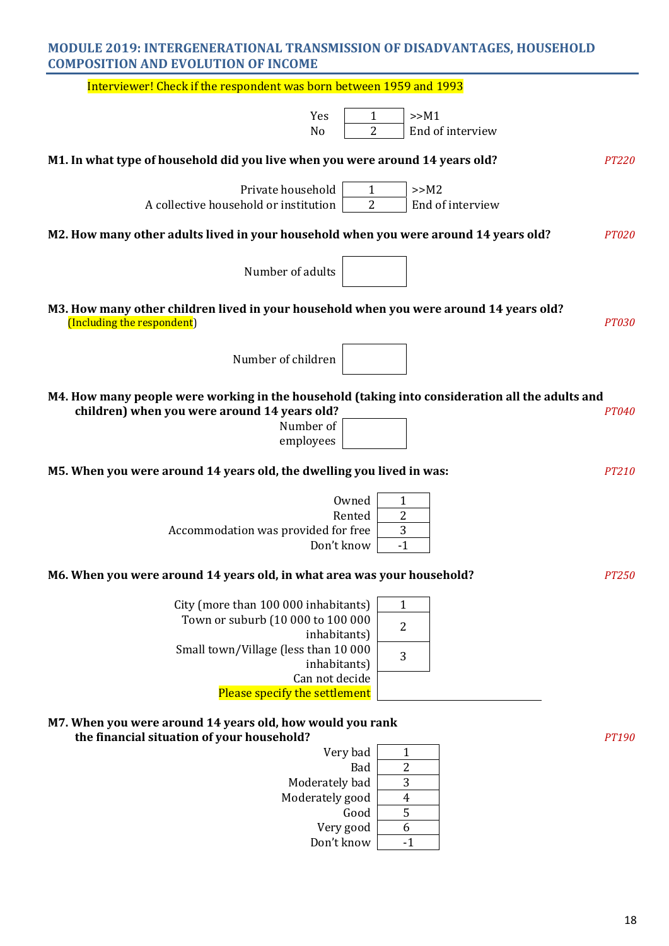## **MODULE 2019: INTERGENERATIONAL TRANSMISSION OF DISADVANTAGES, HOUSEHOLD COMPOSITION AND EVOLUTION OF INCOME**

| Interviewer! Check if the respondent was born between 1959 and 1993                                                                                                                                                                          |                                                                                    |
|----------------------------------------------------------------------------------------------------------------------------------------------------------------------------------------------------------------------------------------------|------------------------------------------------------------------------------------|
| Yes                                                                                                                                                                                                                                          | >>M1<br>1                                                                          |
| No                                                                                                                                                                                                                                           | $\overline{2}$<br>End of interview                                                 |
| M1. In what type of household did you live when you were around 14 years old?                                                                                                                                                                | <b>PT220</b>                                                                       |
| Private household                                                                                                                                                                                                                            | >>M2<br>1                                                                          |
| A collective household or institution                                                                                                                                                                                                        | 2<br>End of interview                                                              |
| M2. How many other adults lived in your household when you were around 14 years old?                                                                                                                                                         | <b>PT020</b>                                                                       |
| Number of adults                                                                                                                                                                                                                             |                                                                                    |
| M3. How many other children lived in your household when you were around 14 years old?<br>(Including the respondent)                                                                                                                         | <b>PT030</b>                                                                       |
| Number of children                                                                                                                                                                                                                           |                                                                                    |
| M4. How many people were working in the household (taking into consideration all the adults and<br>children) when you were around 14 years old?<br>Number of<br>employees                                                                    | PT040                                                                              |
| M5. When you were around 14 years old, the dwelling you lived in was:                                                                                                                                                                        | <b>PT210</b>                                                                       |
| Owned<br>Rented<br>Accommodation was provided for free<br>Don't know<br>M6. When you were around 14 years old, in what area was your household?<br>City (more than 100 000 inhabitants)<br>Town or suburb (10 000 to 100 000<br>inhabitants) | 1<br>$\overline{2}$<br>3<br>$-1$<br><b>PT250</b><br>$\mathbf{1}$<br>$\overline{2}$ |
| Small town/Village (less than 10 000<br>inhabitants)<br>Can not decide<br>Please specify the settlement<br>M7. When you were around 14 years old, how would you rank                                                                         | 3                                                                                  |
| the financial situation of your household?<br>Very bad<br>Bad<br>Moderately bad<br>Moderately good<br>Good<br>Very good<br>Don't know                                                                                                        | PT190<br>1<br>2<br>3<br>$\overline{4}$<br>5<br>6<br>$-1$                           |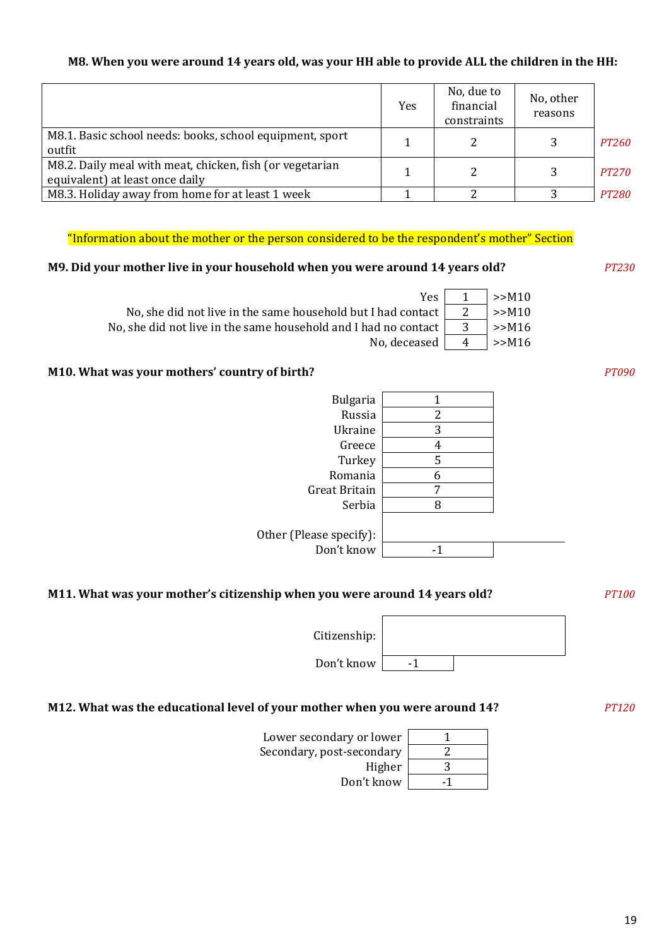## **М8. When you were around 14 years old, was your HH able to provide ALL the children in the HH:**

|                                                                                             | Yes | No, due to<br>financial<br>constraints | No, other<br>reasons |              |
|---------------------------------------------------------------------------------------------|-----|----------------------------------------|----------------------|--------------|
| M8.1. Basic school needs: books, school equipment, sport<br>outfit                          |     |                                        |                      | <i>PT260</i> |
| M8.2. Daily meal with meat, chicken, fish (or vegetarian<br>equivalent) at least once daily |     |                                        |                      | <i>PT270</i> |
| M8.3. Holiday away from home for at least 1 week                                            |     |                                        |                      | <i>PT280</i> |

"Information about the mother or the person considered to be the respondent's mother" Section

## **М9. Did your mother live in your household when you were around 14 years old?** *PT230*

| Yes I                                                           | >>M10        |
|-----------------------------------------------------------------|--------------|
| No, she did not live in the same household but I had contact    | $\mid$ >>M10 |
| No, she did not live in the same household and I had no contact | >>M16        |
| No, deceased $\vert$ 4                                          | $\geq$ M16   |

## **М10. What was your mothers' country of birth?** *PT090*

| <b>Bulgaria</b>         | 1 |  |
|-------------------------|---|--|
| Russia                  | 2 |  |
| Ukraine                 | 3 |  |
| Greece                  | 4 |  |
| Turkey                  | 5 |  |
| Romania                 | 6 |  |
| Great Britain           | 7 |  |
| Serbia                  | 8 |  |
|                         |   |  |
| Other (Please specify): |   |  |
| Don't know              |   |  |
|                         |   |  |

## **М11. What was your mother's citizenship when you were around 14 years old?** *PT100*

Citizenship:

Don't know | -1

## **М12. What was the educational level of your mother when you were around 14?** *PT120*

| Lower secondary or lower  |   |
|---------------------------|---|
| Secondary, post-secondary |   |
| Higher                    | З |
| Don't know                |   |

| 2 |  |
|---|--|
| 3 |  |
|   |  |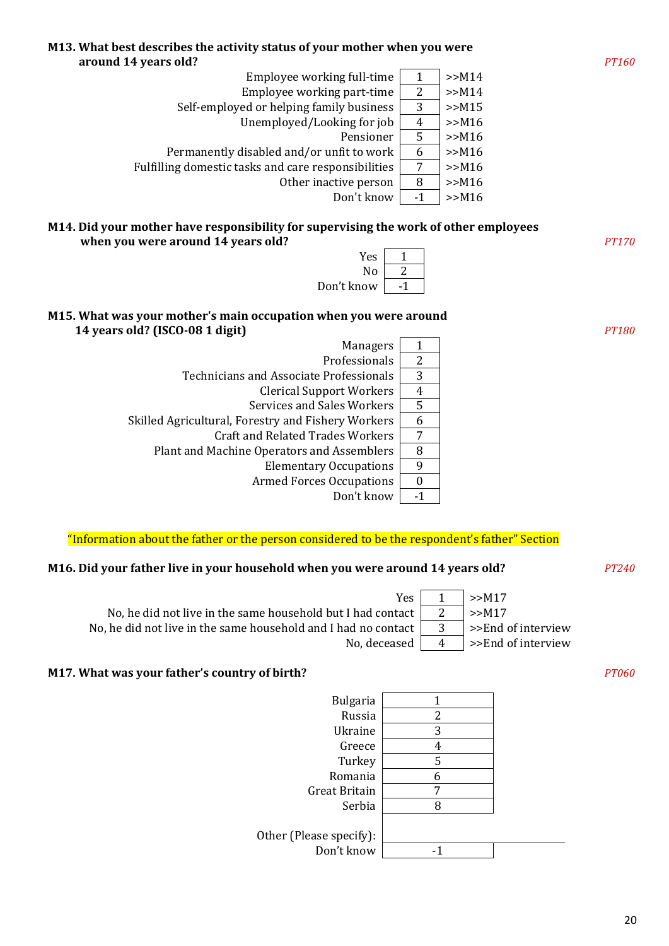

#### **М14. Did your mother have responsibility for supervising the work of other employees when you were around 14 years old?** *PT170*



## **М15. What was your mother's main occupation when you were around 14 years old? (ISCO-08 1 digit)** *PT180*

| <b>Managers</b>                                    | 1  |
|----------------------------------------------------|----|
| Professionals                                      | 2  |
| Technicians and Associate Professionals            | 3  |
| <b>Clerical Support Workers</b>                    | 4  |
| <b>Services and Sales Workers</b>                  | 5  |
| Skilled Agricultural, Forestry and Fishery Workers | 6  |
| <b>Craft and Related Trades Workers</b>            | 7  |
| Plant and Machine Operators and Assemblers         | 8  |
| <b>Elementary Occupations</b>                      | 9  |
| <b>Armed Forces Occupations</b>                    |    |
| Don't know                                         | -1 |

## "Information about the father or the person considered to be the respondent's father" Section

## **М16. Did your father live in your household when you were around 14 years old?** *PT240*

 $Yes \mid 1 \mid >> M17$ No, he did not live in the same household but I had contact  $\begin{vmatrix} 2 \\ \end{vmatrix}$  >>M17 No, he did not live in the same household and I had no contact  $\begin{vmatrix} 3 & | \end{vmatrix}$  >>End of interview No, deceased  $\begin{vmatrix} 4 & | > \end{vmatrix}$  >>End of interview

#### **М17. What was your father's country of birth?** *PT060*

Bulgaria | 1 Russia 2 Ukraine 3 Greece 4 Turkey<sup>1</sup>5 Romania 6 Great Britain 7 Serbia 8 Other (Please specify): Don't know | -1